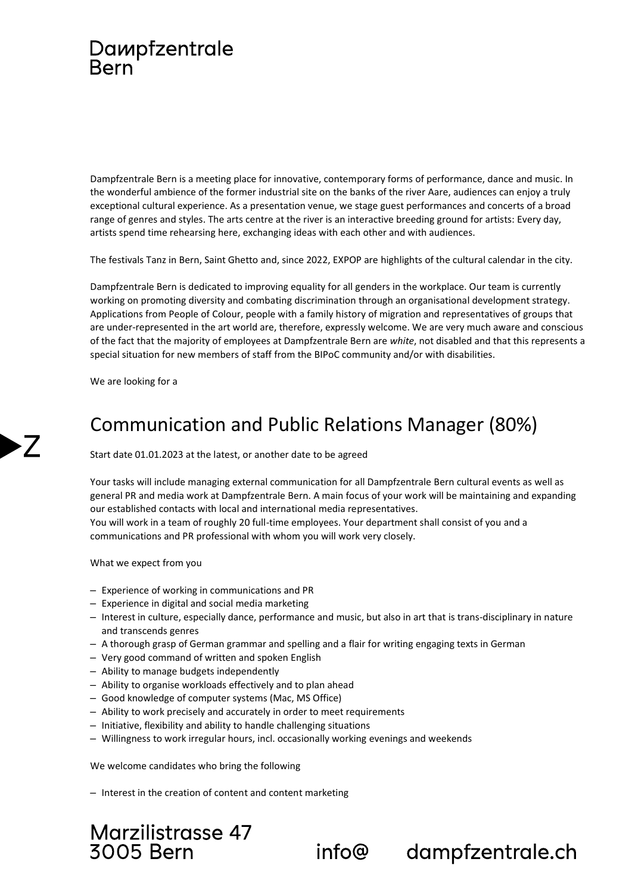## Dampfzentrale **Bern**

Dampfzentrale Bern is a meeting place for innovative, contemporary forms of performance, dance and music. In the wonderful ambience of the former industrial site on the banks of the river Aare, audiences can enjoy a truly exceptional cultural experience. As a presentation venue, we stage guest performances and concerts of a broad range of genres and styles. The arts centre at the river is an interactive breeding ground for artists: Every day, artists spend time rehearsing here, exchanging ideas with each other and with audiences.

The festivals Tanz in Bern, Saint Ghetto and, since 2022, EXPOP are highlights of the cultural calendar in the city.

Dampfzentrale Bern is dedicated to improving equality for all genders in the workplace. Our team is currently working on promoting diversity and combating discrimination through an organisational development strategy. Applications from People of Colour, people with a family history of migration and representatives of groups that are under-represented in the art world are, therefore, expressly welcome. We are very much aware and conscious of the fact that the majority of employees at Dampfzentrale Bern are *white*, not disabled and that this represents a special situation for new members of staff from the BIPoC community and/or with disabilities.

We are looking for a

 $\overline{\phantom{a}}$ 

## Communication and Public Relations Manager (80%)

Start date 01.01.2023 at the latest, or another date to be agreed

Your tasks will include managing external communication for all Dampfzentrale Bern cultural events as well as general PR and media work at Dampfzentrale Bern. A main focus of your work will be maintaining and expanding our established contacts with local and international media representatives. You will work in a team of roughly 20 full-time employees. Your department shall consist of you and a communications and PR professional with whom you will work very closely.

What we expect from you

- ‒ Experience of working in communications and PR
- ‒ Experience in digital and social media marketing
- ‒ Interest in culture, especially dance, performance and music, but also in art that is trans-disciplinary in nature and transcends genres
- ‒ A thorough grasp of German grammar and spelling and a flair for writing engaging texts in German
- ‒ Very good command of written and spoken English
- Ability to manage budgets independently
- ‒ Ability to organise workloads effectively and to plan ahead
- ‒ Good knowledge of computer systems (Mac, MS Office)
- Ability to work precisely and accurately in order to meet requirements
- ‒ Initiative, flexibility and ability to handle challenging situations
- ‒ Willingness to work irregular hours, incl. occasionally working evenings and weekends

We welcome candidates who bring the following

- Interest in the creation of content and content marketing

## Marzilistrasse 47 **3005 Bern**

info@

dampfzentrale.ch